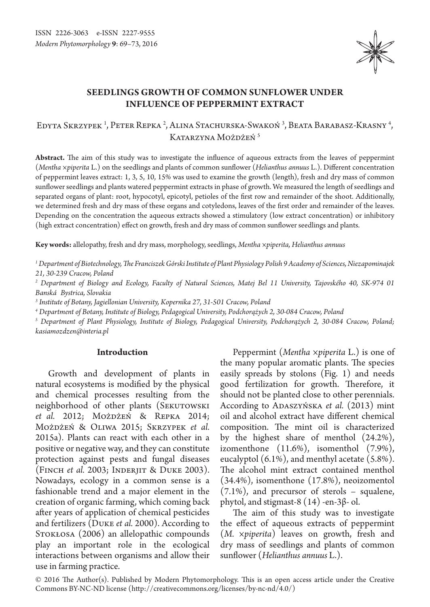

# **Seedlings growth of common sunflower under influence of peppermint extract**

## Edyta Skrzypek <sup>1</sup>, Peter Repka <sup>2</sup>, Alina Stachurska-Swakoń <sup>3</sup>, Beata Barabasz-Krasny <sup>4</sup>, Katarzyna Możdżeń<sup>5</sup>

**Abstract.** The aim of this study was to investigate the influence of aqueous extracts from the leaves of peppermint (*Mentha ×piperita* L.) on the seedlings and plants of common sunflower (*Helianthus annuus* L.). Different concentration of peppermint leaves extract: 1, 3, 5, 10, 15% was used to examine the growth (length), fresh and dry mass of common sunflower seedlings and plants watered peppermint extracts in phase of growth. We measured the length of seedlings and separated organs of plant: root, hypocotyl, epicotyl, petioles of the first row and remainder of the shoot. Additionally, we determined fresh and dry mass of these organs and cotyledons, leaves of the first order and remainder of the leaves. Depending on the concentration the aqueous extracts showed a stimulatory (low extract concentration) or inhibitory (high extract concentration) effect on growth, fresh and dry mass of common sunflower seedlings and plants.

**Key words:** allelopathy, fresh and dry mass, morphology, seedlings, *Mentha ×piperita, Helianthus annuus*

*1 Department of Biotechnology, The Franciszek Górski Institute of Plant Physiology Polish 9 Academy of Sciences, Niezapominajek 21, 30-239 Cracow, Poland*

*2 Department of Biology and Ecology, Faculty of Natural Sciences, Matej Bel 11 University, Tajovského 40, SK-974 01 Banská Bystrica, Slovakia*

*3 Institute of Botany, Jagiellonian University, Kopernika 27, 31-501 Cracow, Poland*

*4 Department of Botany, Institute of Biology, Pedagogical University, Podchorążych 2, 30-084 Cracow, Poland*

*5 Department of Plant Physiology, Institute of Biology, Pedagogical University, Podchorążych 2, 30-084 Cracow, Poland; kasiamozdzen@interia.pl*

### **Introduction**

Growth and development of plants in natural ecosystems is modified by the physical and chemical processes resulting from the neighborhood of other plants (SEKUTOWSKI *et al.* 2012; Możdżeń & Repka 2014; Możdżeń & Oliwa 2015; Skrzypek *et al.*  2015a). Plants can react with each other in a positive or negative way, and they can constitute protection against pests and fungal diseases (Finch *et al.* 2003; Inderjit & Duke 2003). Nowadays, ecology in a common sense is a fashionable trend and a major element in the creation of organic farming, which coming back after years of application of chemical pesticides and fertilizers (Duke *et al.* 2000). According to Stokłosa (2006) an allelopathic compounds play an important role in the ecological interactions between organisms and allow their use in farming practice.

Peppermint (*Mentha ×piperita* L.) is one of the many popular aromatic plants. The species easily spreads by stolons (Fig. 1) and needs good fertilization for growth. Therefore, it should not be planted close to other perennials. According to ADASZYŃSKA *et al.* (2013) mint oil and alcohol extract have different chemical composition. The mint oil is characterized by the highest share of menthol (24.2%), izomenthone (11.6%), isomenthol (7.9%), eucalyptol (6.1%), and menthyl acetate (5.8%). The alcohol mint extract contained menthol (34.4%), isomenthone (17.8%), neoizomentol (7.1%), and precursor of sterols – squalene, phytol, and stigmast-8  $(14)$  -en-3β- ol.

The aim of this study was to investigate the effect of aqueous extracts of peppermint (*M. ×piperita*) leaves on growth, fresh and dry mass of seedlings and plants of common sunflower (*Helianthus annuus* L.).

© 2016 The Author(s). Published by Modern Phytomorphology. This is an open access article under the Creative Commons BY-NC-ND license (http://creativecommons.org/licenses/by-nc-nd/4.0/)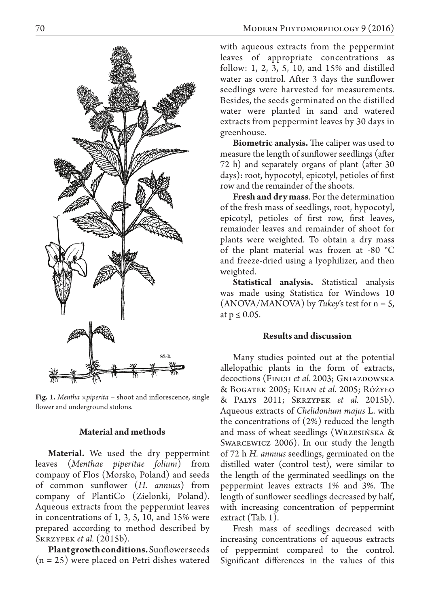

**Fig. 1.** *Mentha ×piperita* – shoot and inflorescence, single flower and underground stolons.

### **Material and methods**

**Material.** We used the dry peppermint leaves (*Menthae piperitae folium*) from company of Flos (Morsko, Poland) and seeds of common sunflower (*H. annuus*) from company of PlantiCo (Zielonki, Poland). Aqueous extracts from the peppermint leaves in concentrations of 1, 3, 5, 10, and 15% were prepared according to method described by Skrzypek *et al.* (2015b).

**Plant growth conditions.** Sunflower seeds (n = 25) were placed on Petri dishes watered with aqueous extracts from the peppermint leaves of appropriate concentrations as follow: 1, 2, 3, 5, 10, and 15% and distilled water as control. After 3 days the sunflower seedlings were harvested for measurements. Besides, the seeds germinated on the distilled water were planted in sand and watered extracts from peppermint leaves by 30 days in greenhouse.

**Biometric analysis.** The caliper was used to measure the length of sunflower seedlings (after 72 h) and separately organs of plant (after 30 days): root, hypocotyl, epicotyl, petioles of first row and the remainder of the shoots.

**Fresh and dry mass**. For the determination of the fresh mass of seedlings, root, hypocotyl, epicotyl, petioles of first row, first leaves, remainder leaves and remainder of shoot for plants were weighted. To obtain a dry mass of the plant material was frozen at -80 °C and freeze-dried using a lyophilizer, and then weighted.

**Statistical analysis.** Statistical analysis was made using Statistica for Windows 10 (ANOVA/MANOVA) by *Tukey*'s test for n = 5, at  $p \leq 0.05$ .

## **Results and discussion**

Many studies pointed out at the potential allelopathic plants in the form of extracts, decoctions (FINCH *et al.* 2003; GNIAZDOWSKA & Bogatek 2005; Khan *et al.* 2005; Różyło & Pałys 2011; Skrzypek *et al.* 2015b). Aqueous extracts of *Chelidonium majus* L. with the concentrations of (2%) reduced the length and mass of wheat seedlings (Wrzesińska & Swarcewicz 2006). In our study the length of 72 h *H. annuus* seedlings, germinated on the distilled water (control test), were similar to the length of the germinated seedlings on the peppermint leaves extracts 1% and 3%. The length of sunflower seedlings decreased by half, with increasing concentration of peppermint extract (Tab. 1).

Fresh mass of seedlings decreased with increasing concentrations of aqueous extracts of peppermint compared to the control. Significant differences in the values of this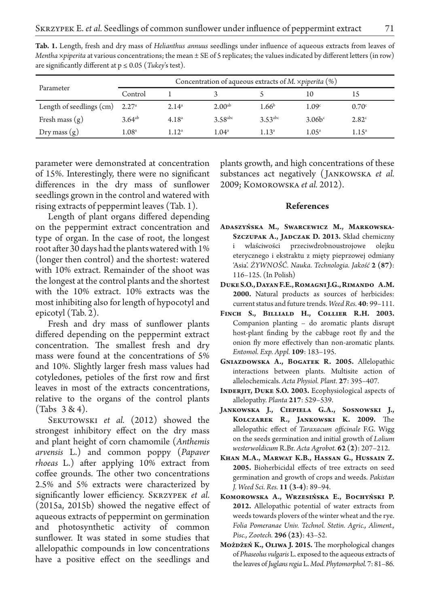| . .                                          |                                                                             |                   |                       |                     |                   |                   |  |
|----------------------------------------------|-----------------------------------------------------------------------------|-------------------|-----------------------|---------------------|-------------------|-------------------|--|
| Parameter                                    | Concentration of aqueous extracts of <i>M.</i> $\times$ <i>piperita</i> (%) |                   |                       |                     |                   |                   |  |
|                                              | Control                                                                     |                   |                       |                     |                   |                   |  |
| Length of seedlings $(cm)$ 2.27 <sup>a</sup> |                                                                             | $2.14^{\circ}$    | $2.00^{ab}$           | $1.66^{\rm b}$      | 1.09 <sup>c</sup> | 0.70 <sup>c</sup> |  |
| Fresh mass $(g)$                             | $3.64^{ab}$                                                                 | 4.18 <sup>a</sup> | $3.58$ <sup>abc</sup> | 3.53 <sup>abc</sup> | $3.06b^c$         | $2.82^{\circ}$    |  |
| Dry mass $(g)$                               | 1.08 <sup>a</sup>                                                           | 1.12 <sup>a</sup> | 1.04 <sup>a</sup>     | 1.13 <sup>a</sup>   | $1.05^{\circ}$    | $1.15^{\circ}$    |  |

**Tab. 1.** Length, fresh and dry mass of *Helianthus annuus* seedlings under influence of aqueous extracts from leaves of *Mentha ×piperita* at various concentrations; the mean ± SE of 5 replicates; the values indicated by different letters (in row) are significantly different at  $p \leq 0.05$  (*Tukey*'s test).

parameter were demonstrated at concentration of 15%. Interestingly, there were no significant differences in the dry mass of sunflower seedlings grown in the control and watered with rising extracts of peppermint leaves (Tab. 1).

Length of plant organs differed depending on the peppermint extract concentration and type of organ. In the case of root, the longest root after 30 days had the plants watered with 1% (longer then control) and the shortest: watered with 10% extract. Remainder of the shoot was the longest at the control plants and the shortest with the 10% extract. 10% extracts was the most inhibiting also for length of hypocotyl and epicotyl (Tab. 2).

Fresh and dry mass of sunflower plants differed depending on the peppermint extract concentration. The smallest fresh and dry mass were found at the concentrations of 5% and 10%. Slightly larger fresh mass values had cotyledones, petioles of the first row and first leaves in most of the extracts concentrations, relative to the organs of the control plants (Tabs 3 & 4).

SEKUTOWSKI *et al.* (2012) showed the strongest inhibitory effect on the dry mass and plant height of corn chamomile (*Anthemis arvensis* L.) and common poppy (*Papaver rhoeas* L.) after applying 10% extract from coffee grounds. The other two concentrations 2.5% and 5% extracts were characterized by significantly lower efficiency. SKRZYPEK *et al.* (2015a, 2015b) showed the negative effect of aqueous extracts of peppermint on germination and photosynthetic activity of common sunflower. It was stated in some studies that allelopathic compounds in low concentrations have a positive effect on the seedlings and plants growth, and high concentrations of these substances act negatively ( Jankowska *et al.*  2009; Komorowska *et al.* 2012).

### **References**

- **Adaszyńska M., Swarcewicz M., Markowska-**SZCZUPAK A., JADCZAK D. 2013. Skład chemiczny i właściwości przeciwdrobnoustrojowe olejku eterycznego i ekstraktu z mięty pieprzowej odmiany 'Asia'. *Żywność. Nauka. Technologia. Jakość* **2 (87)**: 116–125. (In Polish)
- **Duke S.O., Dayan F.E., Romagni J.G., Rimando A.M. 2000.** Natural products as sources of herbicides: current status and future trends. *Weed Res.* **40**: 99–111.
- **Finch S., Billiald H., Collier R.H. 2003.**  Companion planting – do aromatic plants disrupt host-plant finding by the cabbage root fly and the onion fly more effectively than non-aromatic plants. *Entomol. Exp. Appl.* **109**: 183–195.
- **Gniazdowska A., Bogatek R. 2005.** Allelopathic interactions between plants. Multisite action of allelochemicals. *Acta Physiol. Plant.* **27**: 395–407.
- **Inderjit, Duke S.O. 2003.** Ecophysiological aspects of allelopathy. *Planta* **217**: 529–539.
- **Jankowska J., Ciepiela G.A., Sosnowski J., Kolczarek R., Jankowski K. 2009.** The allelopathic effect of *Taraxacum officinale* F.G. Wigg on the seeds germination and initial growth of *Lolium westerwoldicum* R.Br. *Acta Agrobot.* **62 (2)**: 207–212.
- **Khan M.A., Marwat K.B., Hassan G., Hussain Z. 2005.** Bioherbicidal effects of tree extracts on seed germination and growth of crops and weeds. *Pakistan J. Weed Sci. Res.* **11 (3-4)**: 89–94.
- **Komorowska A., Wrzesińska E., Bochyński P. 2012.** Allelopathic potential of water extracts from weeds towards plovers of the winter wheat and the rye. *Folia Pomeranae Univ. Technol. Stetin. Agric., Aliment., Pisc., Zootech.* **296 (23)**: 43–52.
- **Możdżeń K., Oliwa J. 2015.** The morphological changes of *Phaseolus vulgaris* L. exposed to the aqueous extracts of the leaves of *Juglans regia* L. *Mod. Phytomorphol.* 7: 81–86.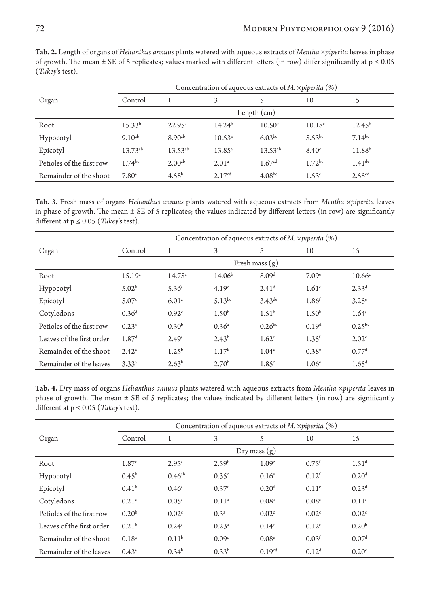Organ Concentration of aqueous extracts of *M. ×piperita* (%) Control 1 3 5 10 15 Length (cm) Root 15.33<sup>b</sup> 22.95<sup>a</sup> 14.24<sup>b</sup> 10.50<sup>c</sup> 10.18<sup>c</sup> 12.45<sup>b</sup> Hypocotyl 9.10ab 8.90ab 10.53a 6.03bc 5.53bc 7.14bc Epicotyl 13.73<sup>ab</sup> 13.53<sup>ab</sup> 13.85<sup>a</sup> 13.53<sup>ab</sup> 8.40<sup>c</sup> 11.88<sup>b</sup> Petioles of the first row  $1.74^{\text{bc}}$   $2.00^{\text{ab}}$   $2.01^{\text{a}}$   $1.67^{\text{cd}}$   $1.72^{\text{bc}}$   $1.41^{\text{de}}$ Remainder of the shoot  $7.80^\circ$  4.58<sup>b</sup> 2.17<sup>cd</sup> 4.08<sup>bc</sup> 1.53<sup>e</sup> 2.55<sup>cd</sup>

**Tab. 2.** Length of organs of *Helianthus annuus* plants watered with aqueous extracts of *Mentha ×piperita* leaves in phase of growth. The mean  $\pm$  SE of 5 replicates; values marked with different letters (in row) differ significantly at  $p \le 0.05$ (*Tukey*'s test).

**Tab. 3.** Fresh mass of organs *Helianthus annuus* plants watered with aqueous extracts from *Mentha ×piperita* leaves in phase of growth. The mean ± SE of 5 replicates; the values indicated by different letters (in row) are significantly different at p ≤ 0.05 (*Tukey*'s test).

|                           | Concentration of aqueous extracts of M. $\times$ <i>piperita</i> (%) |                   |                    |                    |                   |                    |  |
|---------------------------|----------------------------------------------------------------------|-------------------|--------------------|--------------------|-------------------|--------------------|--|
| Organ                     | Control                                                              | 1                 | 3                  | 5                  | 10                | 15                 |  |
|                           |                                                                      | Fresh mass $(g)$  |                    |                    |                   |                    |  |
| Root                      | 15.19 <sup>a</sup>                                                   | $14.75^{\circ}$   | 14.06 <sup>b</sup> | 8.09 <sup>d</sup>  | 7.09 <sup>e</sup> | 10.66 <sup>c</sup> |  |
| Hypocotyl                 | 5.02 <sup>b</sup>                                                    | 5.36 <sup>a</sup> | 4.19 <sup>c</sup>  | 2.41 <sup>d</sup>  | $1.61^e$          | $2.33^{d}$         |  |
| Epicotyl                  | 5.07 <sup>c</sup>                                                    | 6.01 <sup>a</sup> | $5.13^{bc}$        | $3.43^{\text{de}}$ | 1.86 <sup>f</sup> | 3.25 <sup>e</sup>  |  |
| Cotyledons                | 0.36 <sup>d</sup>                                                    | 0.92 <sup>c</sup> | 1.50 <sup>b</sup>  | $1.51^{\rm b}$     | 1.50 <sup>b</sup> | $1.64^{\circ}$     |  |
| Petioles of the first row | 0.23 <sup>c</sup>                                                    | 0.30 <sup>b</sup> | $0.36^{\circ}$     | $0.26^{bc}$        | 0.19 <sup>d</sup> | $0.25^{bc}$        |  |
| Leaves of the first order | 1.87 <sup>d</sup>                                                    | 2.49 <sup>a</sup> | $2.43^{b}$         | 1.62 <sup>e</sup>  | 1.35 <sup>f</sup> | 2.02 <sup>c</sup>  |  |
| Remainder of the shoot    | $2.42^{\circ}$                                                       | $1.25^{b}$        | 1.17 <sup>b</sup>  | 1.04 <sup>c</sup>  | $0.38^{\circ}$    | 0.77 <sup>d</sup>  |  |
| Remainder of the leaves   | 3.33 <sup>a</sup>                                                    | $2.63^b$          | 2.70 <sup>b</sup>  | 1.85 <sup>c</sup>  | 1.06 <sup>e</sup> | 1.65 <sup>d</sup>  |  |

**Tab. 4.** Dry mass of organs *Helianthus annuus* plants watered with aqueous extracts from *Mentha ×piperita* leaves in phase of growth. The mean ± SE of 5 replicates; the values indicated by different letters (in row) are significantly different at p ≤ 0.05 (*Tukey*'s test).

|                           | Concentration of aqueous extracts of M. $\times$ piperita (%) |                     |                   |                    |                   |                   |  |
|---------------------------|---------------------------------------------------------------|---------------------|-------------------|--------------------|-------------------|-------------------|--|
| Organ                     | Control                                                       | -1                  | 3                 | 5                  | 10                | 15                |  |
|                           |                                                               | $Dry$ mass $(g)$    |                   |                    |                   |                   |  |
| Root                      | 1.87 <sup>c</sup>                                             | $2.95^{\circ}$      | 2.59 <sup>b</sup> | 1.09 <sup>e</sup>  | $0.75^{\rm f}$    | 1.51 <sup>d</sup> |  |
| Hypocotyl                 | $0.45^{\rm b}$                                                | $0.46^{ab}$         | 0.35 <sup>c</sup> | 0.16 <sup>e</sup>  | 0.12 <sup>f</sup> | 0.20 <sup>d</sup> |  |
| Epicotyl                  | 0.41 <sup>b</sup>                                             | $0.46^{\circ}$      | 0.37 <sup>c</sup> | 0.20 <sup>d</sup>  | $0.11^{\circ}$    | 0.23 <sup>d</sup> |  |
| Cotyledons                | 0.21 <sup>a</sup>                                             | $0.05^{\circ}$      | 0.11 <sup>a</sup> | 0.08 <sup>a</sup>  | 0.08 <sup>a</sup> | 0.11 <sup>a</sup> |  |
| Petioles of the first row | 0.20 <sup>b</sup>                                             | 0.02 <sup>c</sup>   | $0.3^{\rm a}$     | 0.02 <sup>c</sup>  | 0.02 <sup>c</sup> | 0.02 <sup>c</sup> |  |
| Leaves of the first order | 0.21 <sup>b</sup>                                             | $0.24$ <sup>a</sup> | $0.23^{a}$        | 0.14 <sup>c</sup>  | 0.12 <sup>c</sup> | 0.20 <sup>b</sup> |  |
| Remainder of the shoot    | 0.18 <sup>a</sup>                                             | 0.11 <sup>b</sup>   | 0.09 <sup>c</sup> | 0.08 <sup>e</sup>  | 0.03 <sup>f</sup> | 0.07 <sup>d</sup> |  |
| Remainder of the leaves   | $0.43^{\circ}$                                                | 0.34 <sup>b</sup>   | $0.33^{b}$        | 0.19 <sup>cd</sup> | 0.12 <sup>d</sup> | 0.20 <sup>c</sup> |  |